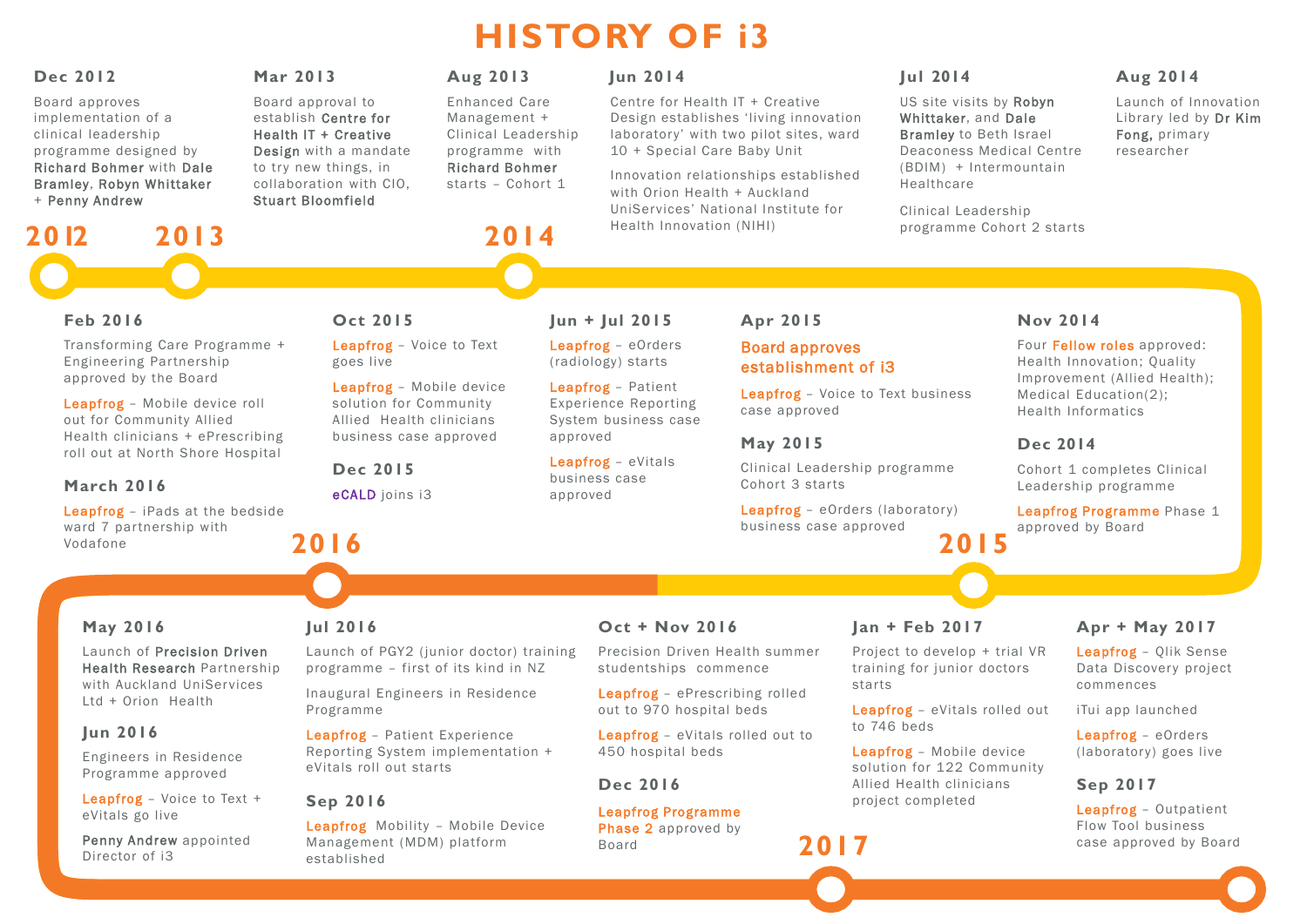# **Dec 2012**

Board approves implementation of a clinical leadership programme designed by Richard Bohmer with Dale Bramley, Robyn Whittaker + Penny Andrew

## **Mar 2013**

Board approval to establish Centre for Health IT + Creative Design with a mandate to try new things, in collaboration with CIO, Stuart Bloomfield

# **Aug 2013**

Enhanced Care Management + Clinical Leadership programme with Richard Bohmer starts – Cohort 1

# **Jun 2014**

Centre for Health IT + Creative Design establishes 'living innovation laboratory' with two pilot sites, ward 10 + Special Care Baby Unit

Innovation relationships established with Orion Health + Auckland UniServices' National Institute for Health Innovation (NIHI)

# **Jul 2014**

US site visits by Robyn Whittaker, and Dale Bramley to Beth Israel Deaconess Medical Centre (BDIM) + Intermountain Healthcare

> Leapfrog Programme Phase 1 approved by Board

Clinical Leadership programme Cohort 2 starts

# **Aug 2014**

Launch of Innovation Library led by Dr Kim Fong, primary researcher

# **Apr 2015**

# Board approves establishment of i3

Leapfrog – Voice to Text business case approved

# **May 2015**

Clinical Leadership programme Cohort 3 starts

# **Jun + Jul 2015**

Leapfrog – eOrders (radiology) starts

Leapfrog – Patient Experience Reporting System business case approved

Leapfrog – eVitals business case approved

## **Nov 2014**

Leapfrog – eOrders (laboratory) business case approved **2015**

Four Fellow roles approved: Health Innovation; Quality Improvement (Allied Health); Medical Education(2); Health Informatics

## **Dec 2014**

Cohort 1 completes Clinical Leadership programme

# **2012 2013 2014**

# **Feb 2016**

Transforming Care Programme + Engineering Partnership approved by the Board

Leapfrog – Mobile device roll out for Community Allied Health clinicians + ePrescribing roll out at North Shore Hospital

# **March 2016**

# **May 2016**

Launch of Precision Driven Health Research Partnership with Auckland UniServices Ltd + Orion Health

# **Jun 2016**

Engineers in Residence Programme approved

Leapfrog – Voice to Text + eVitals go live

Penny Andrew appointed Director of i3

Leapfrog – iPads at the bedside ward 7 partnership with Vodafone **2016**

# **Jul 2016**

Launch of PGY2 (junior doctor) training programme – first of its kind in NZ

Inaugural Engineers in Residence Programme

Leapfrog – Patient Experience Reporting System implementation + eVitals roll out starts

# **Sep 2016**

Leapfrog Mobility – Mobile Device Management (MDM) platform established

# **Oct + Nov 2016**

Precision Driven Health summer studentships commence

Leapfrog – ePrescribing rolled out to 970 hospital beds

Leapfrog – eVitals rolled out to 450 hospital beds

# **Dec 2016**

Leapfrog Programme Phase 2 approved by Board

# **Jan + Feb 2017**

Project to develop + trial VR training for junior doctors starts

Leapfrog – eVitals rolled out to 746 beds

Leapfrog – Mobile device solution for 122 Community Allied Health clinicians project completed

# **2017**

# **Apr + May 2017**

Leapfrog – Qlik Sense Data Discovery project commences

iTui app launched

Leapfrog – eOrders (laboratory) goes live

## **Sep 2017**

Leapfrog – Outpatient Flow Tool business case approved by Board



# **HISTORY OF i3**

# **Oct 2015**

Leapfrog – Voice to Text goes live

Leapfrog – Mobile device solution for Community Allied Health clinicians business case approved

**Dec 2015**

eCALD joins i3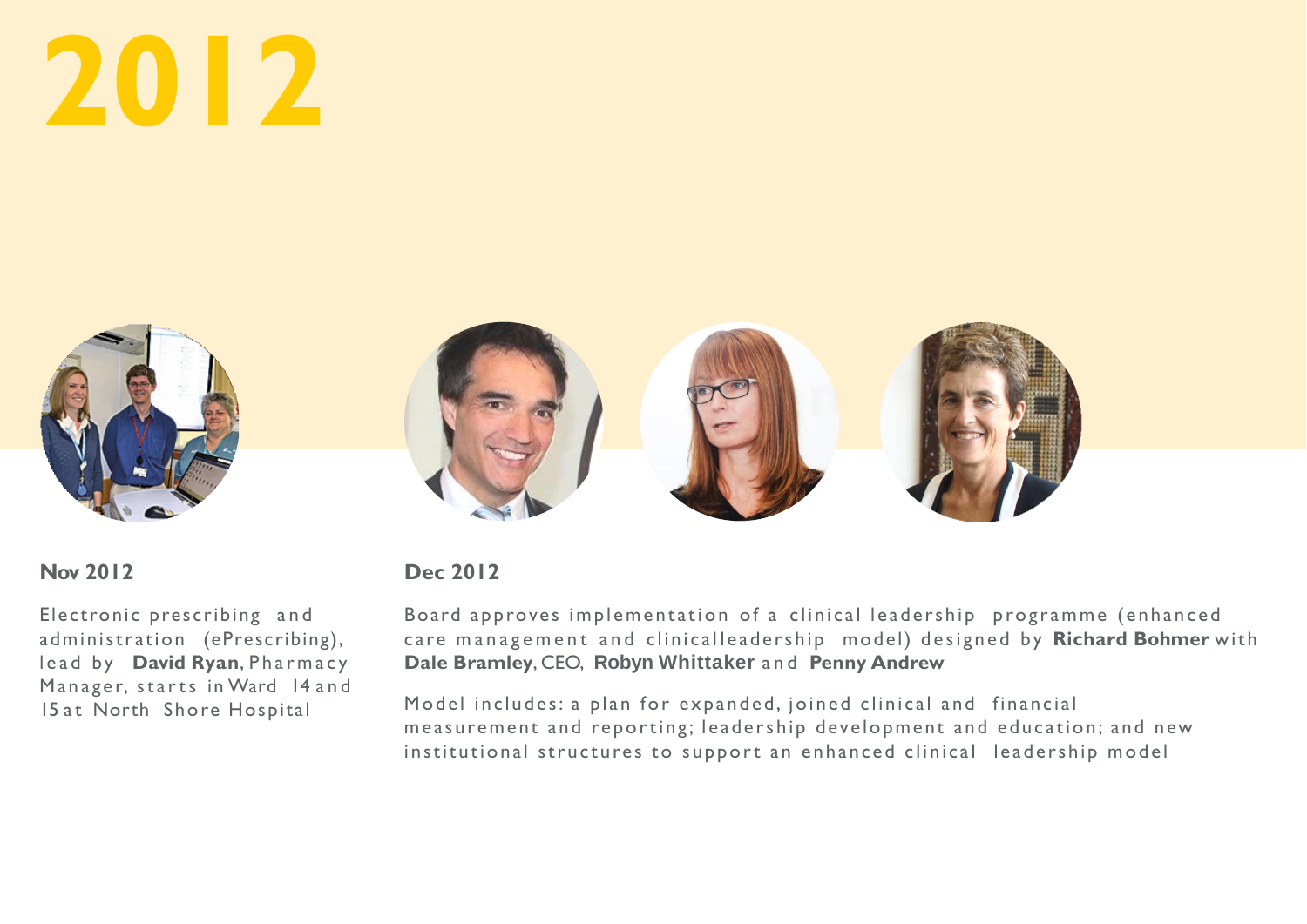# **Nov 2012**

Electronic prescribing and administration (ePrescribing), lead by **David Ryan**, Pharmacy Manager, starts in Ward 14 and 15 at North Shore Hospital

# **Dec 2012**

Board approves implementation of a clinical leadership programme (enhanced care management and clinical leadership model) designed by **Richard Bohmer** with **Dale Bramley**, CEO, **Robyn Whittaker** and **Penny Andrew**

Model includes: a plan for expanded, joined clinical and financial measurement and reporting; leadership development and education; and new institutional structures to support an enhanced clinical leadership model



# **2012**



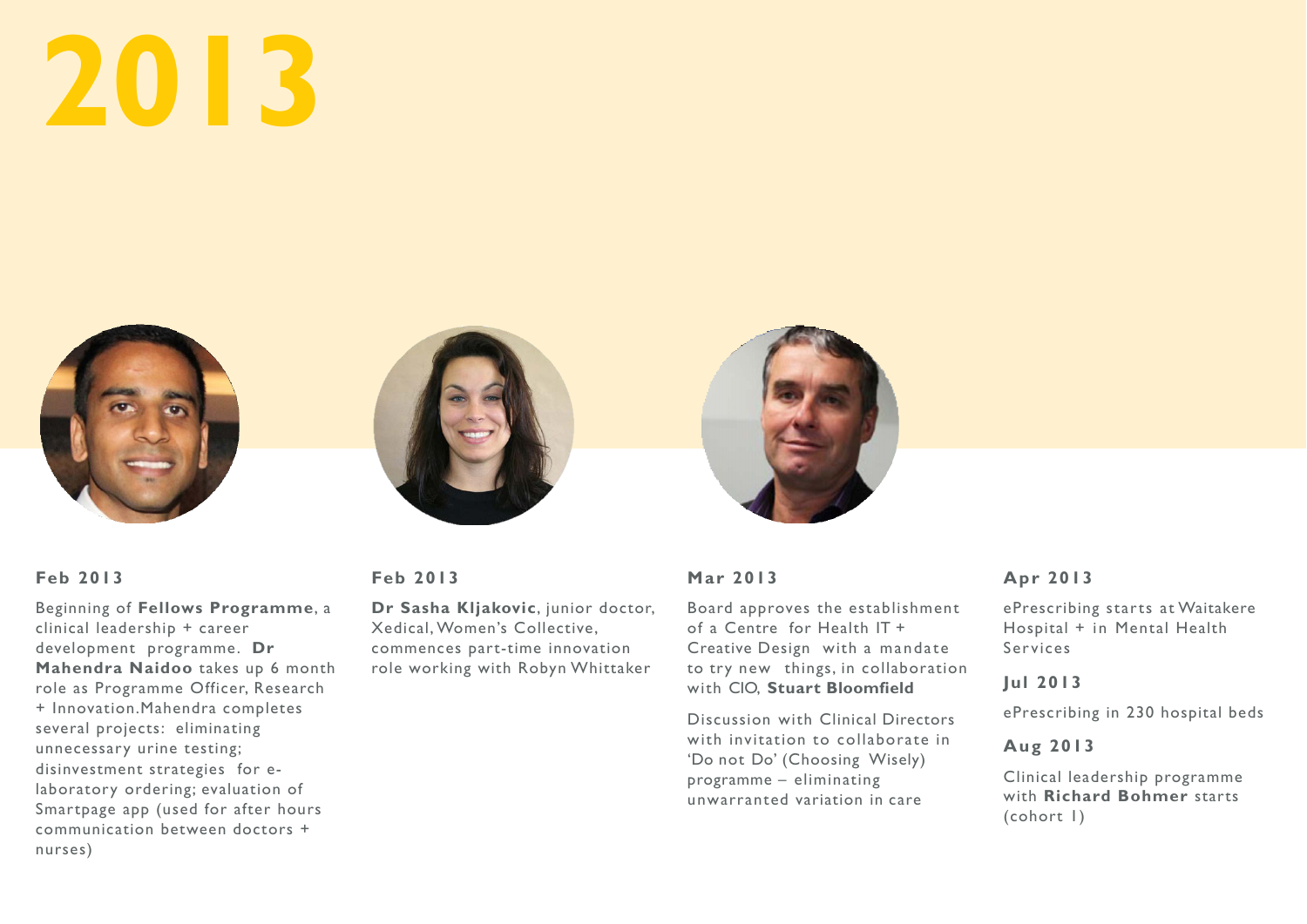





# **Feb 2013**

Beginning of **Fellows Programme**, a clinical leadership + career development programme. **Dr Mahendra Naidoo** takes up 6 month role as Programme Officer, Research + Innovation.Mahendra completes several projects: eliminating unnecessary urine testing; disinvestment strategies for elaboratory ordering; evaluation of Smartpage app (used for after hours communication between doctors + nurses)

# **Feb 2013**

**Dr Sasha Kljakovic**, junior doctor, Xedical, Women's Collective, commences part-time innovation role working with Robyn Whittaker

# **Mar 2013**

Board approves the establishment of a Centre for Health IT + Creative Design with a mandate to try new things, in collaboration with CIO, **Stuart Bloomfield**

Discussion with Clinical Directors with invitation to collaborate in 'Do not Do' (Choosing Wisely) programme – eliminating unwarranted variation in care

# **Apr 2013**

ePrescribing starts at Waitakere Hospital + in Mental Health Services

# **Jul 2013**

ePrescribing in 230 hospital beds

# **Aug 2013**

Clinical leadership programme with **Richard Bohmer** starts (cohort 1)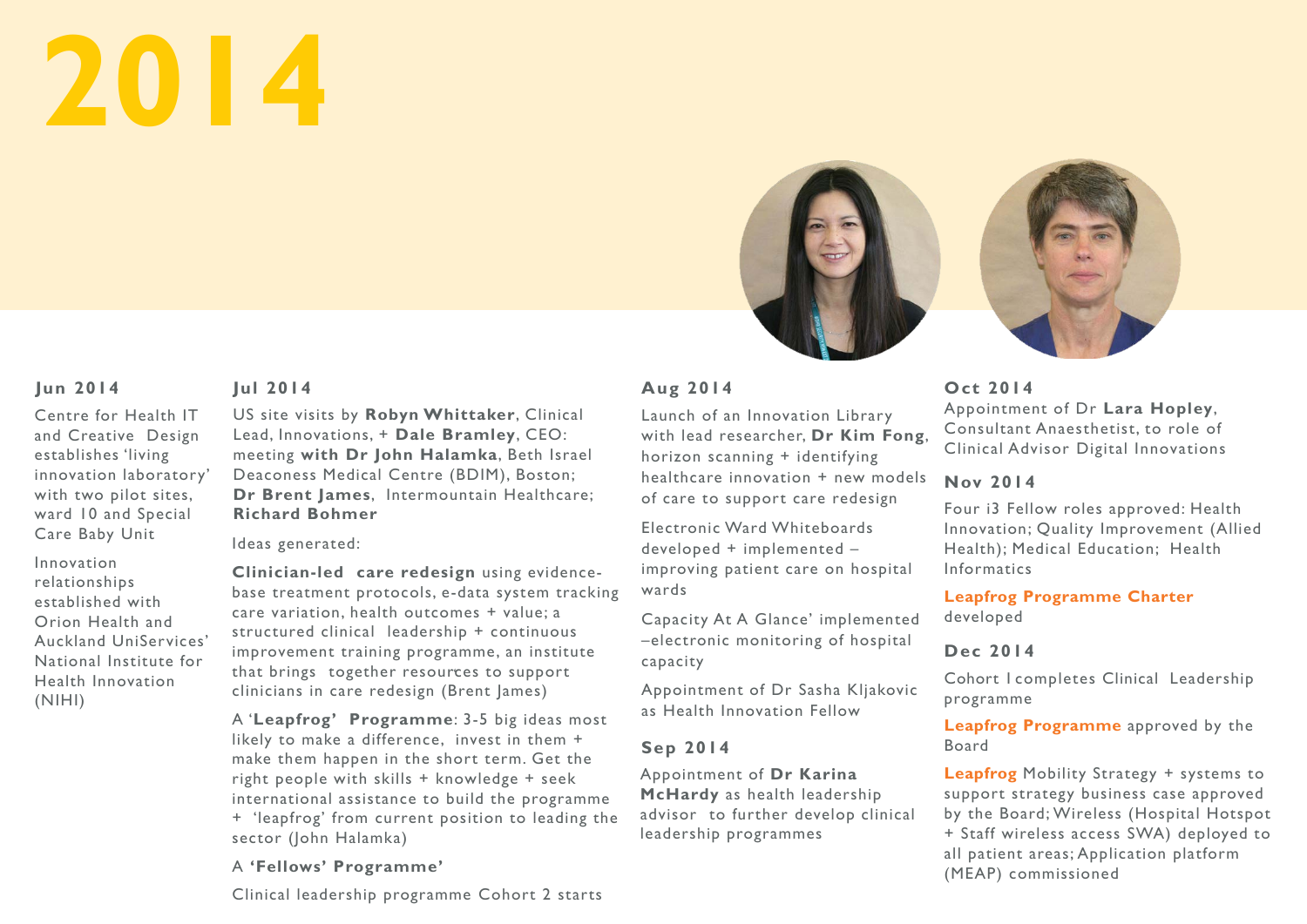

# **Aug 2014**

Launch of an Innovation Library with lead researcher, **Dr Kim Fong**, horizon scanning + identifying healthcare innovation + new models of care to support care redesign

Electronic Ward Whiteboards developed + implemented – improving patient care on hospital wards

Capacity At A Glance' implemented –electronic monitoring of hospital capacity

Appointment of Dr Sasha Kljakovic as Health Innovation Fellow

# **Sep 2014**

Appointment of **Dr Karina McHardy** as health leadership advisor to further develop clinical leadership programmes

# **Jul 2014**

' that brings together resources to support **Clinician-led care redesign** using evidencebase treatment protocols, e-data system tracking care variation, health outcomes + value; a structured clinical leadership + continuous improvement training programme, an institute clinicians in care redesign (Brent James)

US site visits by **Robyn Whittaker**, Clinical Lead, Innovations, + **Dale Bramley**, CEO: meeting **with Dr John Halamka**, Beth Israel Deaconess Medical Centre (BDIM), Boston; **Dr Brent James**, Intermountain Healthcare; **Richard Bohmer**

Ideas generated:

A '**Leapfrog' Programme**: 3-5 big ideas most likely to make a difference, invest in them + make them happen in the short term. Get the right people with skills + knowledge + seek international assistance to build the programme + 'leapfrog' from current position to leading the sector (John Halamka)

# A **'Fellows' Programme'**

Clinical leadership programme Cohort 2 starts

# **Oct 2014**

Appointment of Dr **Lara Hopley**, Consultant Anaesthetist, to role of Clinical Advisor Digital Innovations

# **Nov 2014**

Four i3 Fellow roles approved: Health Innovation; Quality Improvement (Allied Health); Medical Education; Health Informatics

# **Leapfrog Programme Charter**  developed

# **Dec 2014**

Cohort 1 completes Clinical Leadership programme

**Leapfrog Programme** approved by the

# Board

**Leapfrog** Mobility Strategy + systems to support strategy business case approved by the Board; Wireless (Hospital Hotspot + Staff wireless access SWA) deployed to all patient areas; Application platform (MEAP) commissioned



# **Jun 2014**

Centre for Health IT and Creative Design establishes 'living innovation laboratory' with two pilot sites, ward 10 and Special Care Baby Unit

Innovation relationships established with Orion Health and Auckland UniServices' National Institute for Health Innovation (NIHI)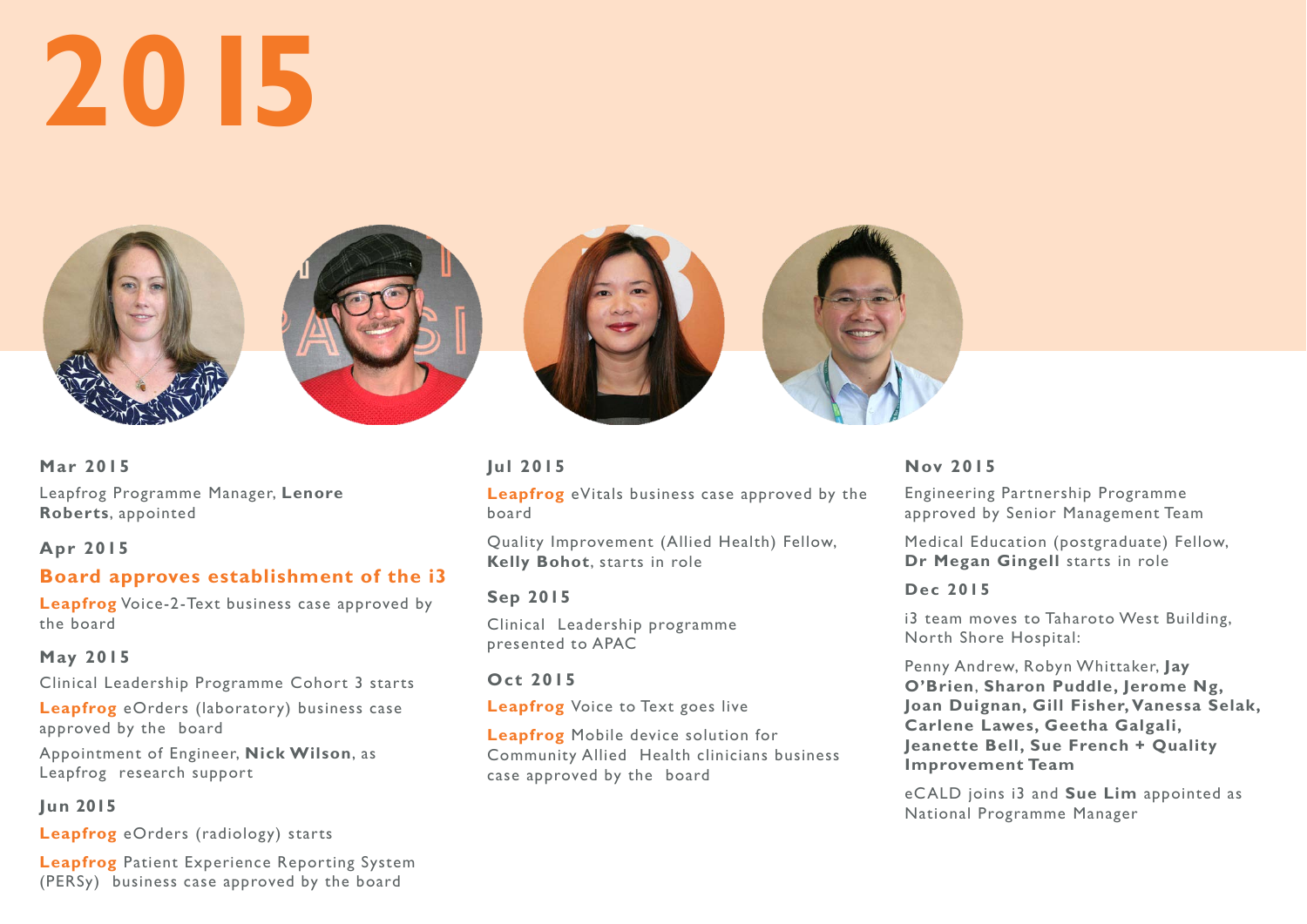







# **Mar 2015**

Leapfrog Programme Manager, **Lenore Roberts**, appointed

# **Apr 2015**

# **Board approves establishment of the i3**

**Leapfrog** Voice-2-Text business case approved by the board

# **May 2015**

Clinical Leadership Programme Cohort 3 starts

**Leapfrog** eOrders (laboratory) business case approved by the board

Appointment of Engineer, **Nick Wilson**, as Leapfrog research support

# **Jun 2015**

**Leapfrog** eOrders (radiology) starts

**Leapfrog** Patient Experience Reporting System (PERSy) business case approved by the board

# **Jul 2015**

**Leapfrog** eVitals business case approved by the board

Quality Improvement (Allied Health) Fellow, **Kelly Bohot**, starts in role

# **Sep 2015**

Clinical Leadership programme presented to APAC

# **Oct 2015**

**Leapfrog** Voice to Text goes live

**Leapfrog** Mobile device solution for Community Allied Health clinicians business case approved by the board

# **Nov 2015**

Engineering Partnership Programme approved by Senior Management Team Medical Education (postgraduate) Fellow, **Dr Megan Gingell** starts in role **Dec 2015** i3 team moves to Taharoto West Building, North Shore Hospital: Penny Andrew, Robyn Whittaker, **Jay O'Brien**, **Sharon Puddle, Jerome Ng, Joan Duignan, Gill Fisher, Vanessa Selak, Carlene Lawes, Geetha Galgali, Jeanette Bell, Sue French + Quality Improvement Team** eCALD joins i3 and **Sue Lim** appointed as National Programme Manager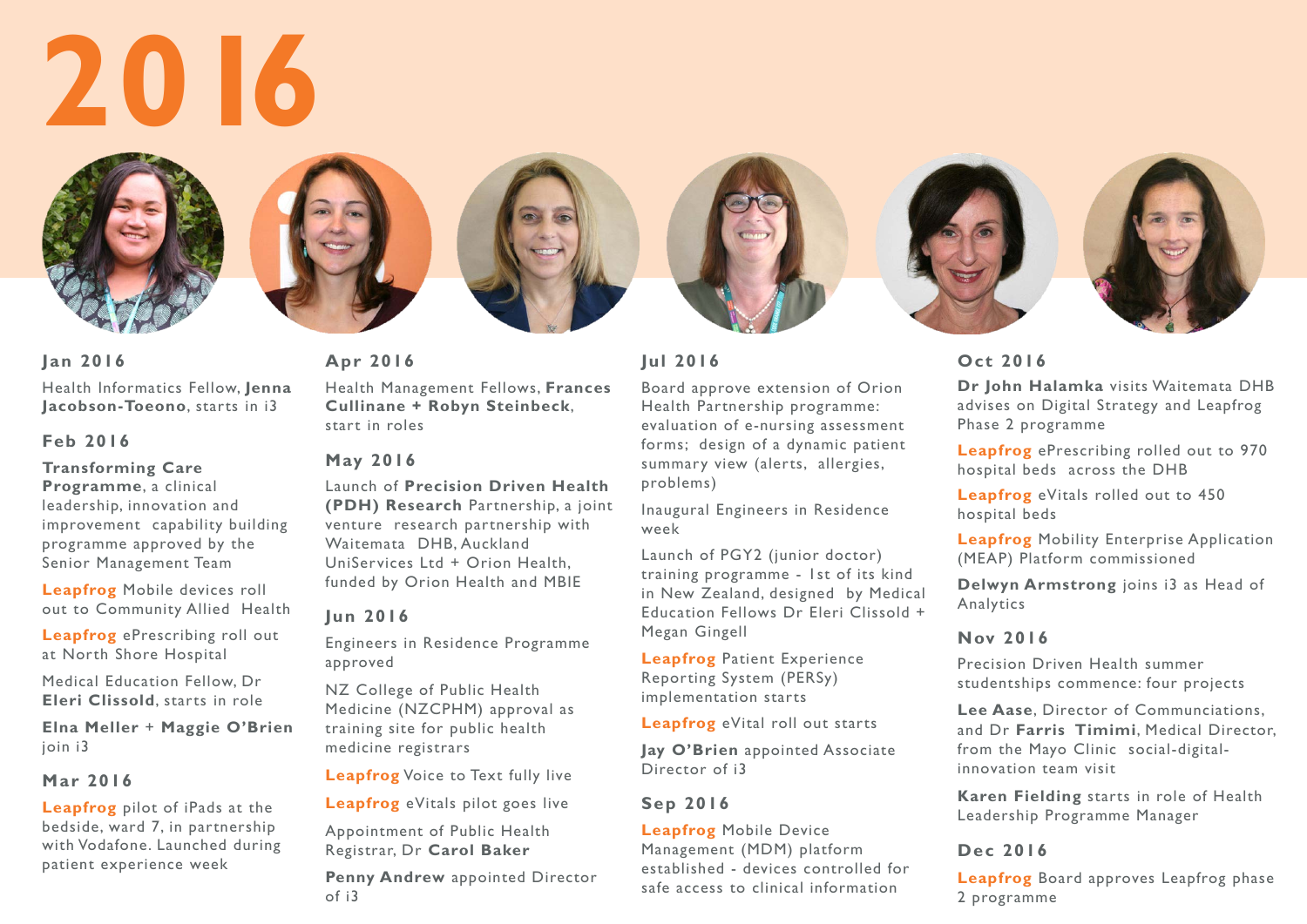









**Jan 2016**

Health Informatics Fellow, **Jenna Jacobson-Toeono**, starts in i3

# **Feb 2016**

**Transforming Care Programme**, a clinical leadership, innovation and improvement capability building programme approved by the Senior Management Team

**Leapfrog** Mobile devices roll out to Community Allied Health

**Leapfrog** ePrescribing roll out at North Shore Hospital

Medical Education Fellow, Dr **Eleri Clissold**, starts in role

**Elna Meller** + **Maggie O'Brien**  join i3

# **Mar 2016**

**Leapfrog** pilot of iPads at the bedside, ward 7, in partnership with Vodafone. Launched during patient experience week

**Apr 2016**

Health Management Fellows, **Frances Cullinane + Robyn Steinbeck**,

start in roles

# **May 2016**

Launch of **Precision Driven Health (PDH) Research** Partnership, a joint venture research partnership with Waitemata DHB, Auckland UniServices Ltd + Orion Health, funded by Orion Health and MBIE

# **Jun 2016**

Engineers in Residence Programme approved

NZ College of Public Health Medicine (NZCPHM) approval as training site for public health medicine registrars

**Leapfrog** Voice to Text fully live

**Leapfrog** eVitals pilot goes live

Appointment of Public Health Registrar, Dr **Carol Baker**

**Penny Andrew** appointed Director of i3

# **Jul 2016**

Board approve extension of Orion Health Partnership programme: evaluation of e-nursing assessment forms; design of a dynamic patient summary view (alerts, allergies, problems)

Inaugural Engineers in Residence week

Launch of PGY2 (junior doctor) training programme - 1st of its kind in New Zealand, designed by Medical Education Fellows Dr Eleri Clissold + Megan Gingell

**Leapfrog** Patient Experience Reporting System (PERSy) implementation starts

**Leapfrog** eVital roll out starts

**Jay O'Brien** appointed Associate Director of i3

# **Sep 2016**

**Leapfrog** Mobile Device Management (MDM) platform established - devices controlled for safe access to clinical information

# **Oct 2016**

**Dr John Halamka** visits Waitemata DHB advises on Digital Strategy and Leapfrog Phase 2 programme

**Leapfrog** ePrescribing rolled out to 970 hospital beds across the DHB

**Leapfrog** eVitals rolled out to 450 hospital beds

**Leapfrog** Mobility Enterprise Application (MEAP) Platform commissioned

**Delwyn Armstrong** joins i3 as Head of Analytics

# **Nov 2016**

Precision Driven Health summer studentships commence: four projects

**Lee Aase**, Director of Communciations, and Dr **Farris Timimi**, Medical Director, from the Mayo Clinic social-digitalinnovation team visit

**Karen Fielding** starts in role of Health Leadership Programme Manager

# **Dec 2016**

**Leapfrog** Board approves Leapfrog phase 2 programme